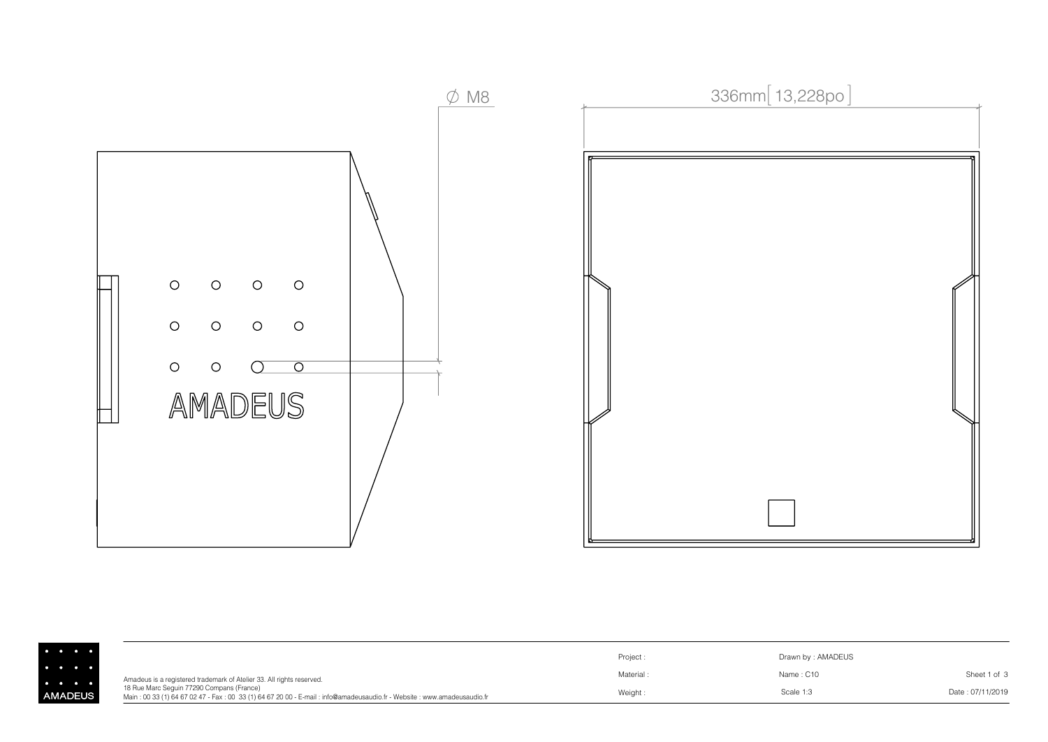

|               |                                                                                                                                                                     | Project: | Drawn by: AMADEUS |                  |
|---------------|---------------------------------------------------------------------------------------------------------------------------------------------------------------------|----------|-------------------|------------------|
|               | Amadeus is a registered trademark of Atelier 33. All rights reserved.                                                                                               | Material | Name: C10         | Sheet 1 of 3     |
| <b>IADEUS</b> | 18 Rue Marc Seguin 77290 Compans (France)<br>Main: 00 33 (1) 64 67 02 47 - Fax: 00 33 (1) 64 67 20 00 - E-mail: info@amadeusaudio.fr - Website: www.amadeusaudio.fr | Weight   | Scale 1:3         | Date: 07/11/2019 |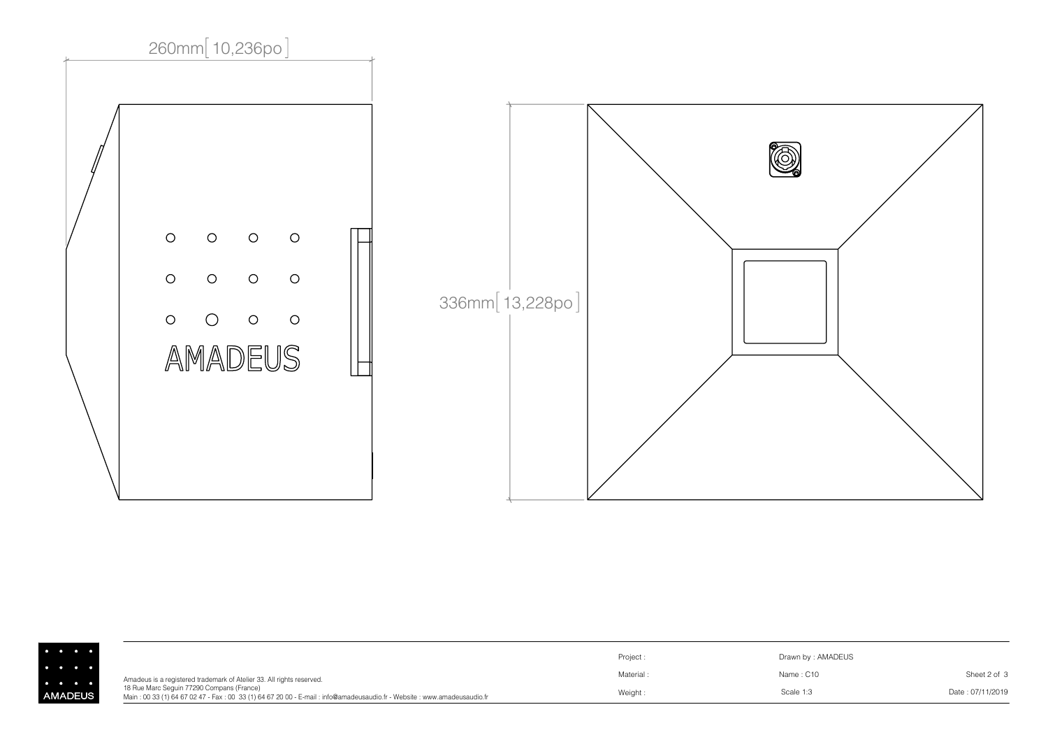

|              |                                                                                                                                                                     | Project:  | Drawn by: AMADEUS |                  |
|--------------|---------------------------------------------------------------------------------------------------------------------------------------------------------------------|-----------|-------------------|------------------|
|              | Amadeus is a registered trademark of Atelier 33. All rights reserved.                                                                                               | Material: | Name: C10         | Sheet 2 of 3     |
| <b>ADEUS</b> | 18 Rue Marc Sequin 77290 Compans (France)<br>Main: 00 33 (1) 64 67 02 47 - Fax: 00 33 (1) 64 67 20 00 - E-mail: info@amadeusaudio.fr - Website: www.amadeusaudio.fr | Weight:   | Scale 1:3         | Date: 07/11/2019 |

AN